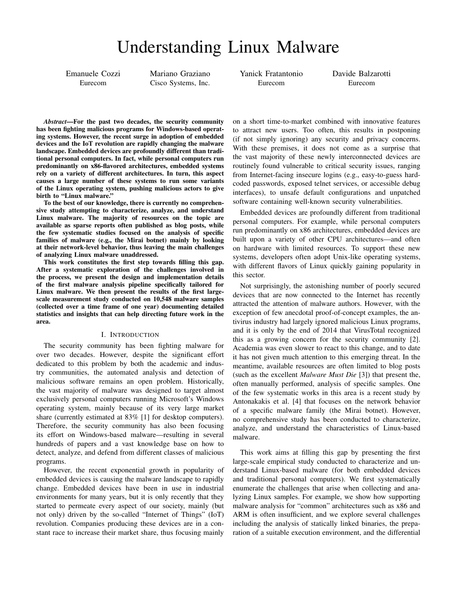# Understanding Linux Malware

Emanuele Cozzi Eurecom

Mariano Graziano Cisco Systems, Inc. Yanick Fratantonio Eurecom

Davide Balzarotti Eurecom

*Abstract*—For the past two decades, the security community has been fighting malicious programs for Windows-based operating systems. However, the recent surge in adoption of embedded devices and the IoT revolution are rapidly changing the malware landscape. Embedded devices are profoundly different than traditional personal computers. In fact, while personal computers run predominantly on x86-flavored architectures, embedded systems rely on a variety of different architectures. In turn, this aspect causes a large number of these systems to run some variants of the Linux operating system, pushing malicious actors to give birth to "Linux malware."

To the best of our knowledge, there is currently no comprehensive study attempting to characterize, analyze, and understand Linux malware. The majority of resources on the topic are available as sparse reports often published as blog posts, while the few systematic studies focused on the analysis of specific families of malware (e.g., the Mirai botnet) mainly by looking at their network-level behavior, thus leaving the main challenges of analyzing Linux malware unaddressed.

This work constitutes the first step towards filling this gap. After a systematic exploration of the challenges involved in the process, we present the design and implementation details of the first malware analysis pipeline specifically tailored for Linux malware. We then present the results of the first largescale measurement study conducted on 10,548 malware samples (collected over a time frame of one year) documenting detailed statistics and insights that can help directing future work in the area.

#### I. INTRODUCTION

The security community has been fighting malware for over two decades. However, despite the significant effort dedicated to this problem by both the academic and industry communities, the automated analysis and detection of malicious software remains an open problem. Historically, the vast majority of malware was designed to target almost exclusively personal computers running Microsoft's Windows operating system, mainly because of its very large market share (currently estimated at 83% [\[1\]](#page-13-0) for desktop computers). Therefore, the security community has also been focusing its effort on Windows-based malware—resulting in several hundreds of papers and a vast knowledge base on how to detect, analyze, and defend from different classes of malicious programs.

However, the recent exponential growth in popularity of embedded devices is causing the malware landscape to rapidly change. Embedded devices have been in use in industrial environments for many years, but it is only recently that they started to permeate every aspect of our society, mainly (but not only) driven by the so-called "Internet of Things" (IoT) revolution. Companies producing these devices are in a constant race to increase their market share, thus focusing mainly

on a short time-to-market combined with innovative features to attract new users. Too often, this results in postponing (if not simply ignoring) any security and privacy concerns. With these premises, it does not come as a surprise that the vast majority of these newly interconnected devices are routinely found vulnerable to critical security issues, ranging from Internet-facing insecure logins (e.g., easy-to-guess hardcoded passwords, exposed telnet services, or accessible debug interfaces), to unsafe default configurations and unpatched software containing well-known security vulnerabilities.

Embedded devices are profoundly different from traditional personal computers. For example, while personal computers run predominantly on x86 architectures, embedded devices are built upon a variety of other CPU architectures—and often on hardware with limited resources. To support these new systems, developers often adopt Unix-like operating systems, with different flavors of Linux quickly gaining popularity in this sector.

Not surprisingly, the astonishing number of poorly secured devices that are now connected to the Internet has recently attracted the attention of malware authors. However, with the exception of few anecdotal proof-of-concept examples, the antivirus industry had largely ignored malicious Linux programs, and it is only by the end of 2014 that VirusTotal recognized this as a growing concern for the security community [\[2\]](#page-13-1). Academia was even slower to react to this change, and to date it has not given much attention to this emerging threat. In the meantime, available resources are often limited to blog posts (such as the excellent *Malware Must Die* [\[3\]](#page-13-2)) that present the, often manually performed, analysis of specific samples. One of the few systematic works in this area is a recent study by Antonakakis et al. [\[4\]](#page-13-3) that focuses on the network behavior of a specific malware family (the Mirai botnet). However, no comprehensive study has been conducted to characterize, analyze, and understand the characteristics of Linux-based malware.

This work aims at filling this gap by presenting the first large-scale empirical study conducted to characterize and understand Linux-based malware (for both embedded devices and traditional personal computers). We first systematically enumerate the challenges that arise when collecting and analyzing Linux samples. For example, we show how supporting malware analysis for "common" architectures such as x86 and ARM is often insufficient, and we explore several challenges including the analysis of statically linked binaries, the preparation of a suitable execution environment, and the differential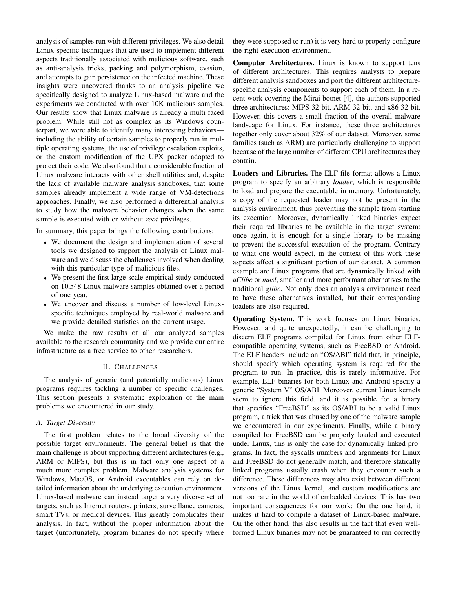analysis of samples run with different privileges. We also detail Linux-specific techniques that are used to implement different aspects traditionally associated with malicious software, such as anti-analysis tricks, packing and polymorphism, evasion, and attempts to gain persistence on the infected machine. These insights were uncovered thanks to an analysis pipeline we specifically designed to analyze Linux-based malware and the experiments we conducted with over 10K malicious samples. Our results show that Linux malware is already a multi-faced problem. While still not as complex as its Windows counterpart, we were able to identify many interesting behaviors including the ability of certain samples to properly run in multiple operating systems, the use of privilege escalation exploits, or the custom modification of the UPX packer adopted to protect their code. We also found that a considerable fraction of Linux malware interacts with other shell utilities and, despite the lack of available malware analysis sandboxes, that some samples already implement a wide range of VM-detections approaches. Finally, we also performed a differential analysis to study how the malware behavior changes when the same sample is executed with or without *root* privileges.

In summary, this paper brings the following contributions:

- We document the design and implementation of several tools we designed to support the analysis of Linux malware and we discuss the challenges involved when dealing with this particular type of malicious files.
- We present the first large-scale empirical study conducted on 10,548 Linux malware samples obtained over a period of one year.
- We uncover and discuss a number of low-level Linuxspecific techniques employed by real-world malware and we provide detailed statistics on the current usage.

We make the raw results of all our analyzed samples available to the research community and we provide our entire infrastructure as a free service to other researchers.

# II. CHALLENGES

The analysis of generic (and potentially malicious) Linux programs requires tackling a number of specific challenges. This section presents a systematic exploration of the main problems we encountered in our study.

# *A. Target Diversity*

The first problem relates to the broad diversity of the possible target environments. The general belief is that the main challenge is about supporting different architectures (e.g., ARM or MIPS), but this is in fact only one aspect of a much more complex problem. Malware analysis systems for Windows, MacOS, or Android executables can rely on detailed information about the underlying execution environment. Linux-based malware can instead target a very diverse set of targets, such as Internet routers, printers, surveillance cameras, smart TVs, or medical devices. This greatly complicates their analysis. In fact, without the proper information about the target (unfortunately, program binaries do not specify where they were supposed to run) it is very hard to properly configure the right execution environment.

Computer Architectures. Linux is known to support tens of different architectures. This requires analysts to prepare different analysis sandboxes and port the different architecturespecific analysis components to support each of them. In a recent work covering the Mirai botnet [\[4\]](#page-13-3), the authors supported three architectures: MIPS 32-bit, ARM 32-bit, and x86 32-bit. However, this covers a small fraction of the overall malware landscape for Linux. For instance, these three architectures together only cover about 32% of our dataset. Moreover, some families (such as ARM) are particularly challenging to support because of the large number of different CPU architectures they contain.

Loaders and Libraries. The ELF file format allows a Linux program to specify an arbitrary *loader*, which is responsible to load and prepare the executable in memory. Unfortunately, a copy of the requested loader may not be present in the analysis environment, thus preventing the sample from starting its execution. Moreover, dynamically linked binaries expect their required libraries to be available in the target system: once again, it is enough for a single library to be missing to prevent the successful execution of the program. Contrary to what one would expect, in the context of this work these aspects affect a significant portion of our dataset. A common example are Linux programs that are dynamically linked with *uClibc* or *musl*, smaller and more performant alternatives to the traditional *glibc*. Not only does an analysis environment need to have these alternatives installed, but their corresponding loaders are also required.

Operating System. This work focuses on Linux binaries. However, and quite unexpectedly, it can be challenging to discern ELF programs compiled for Linux from other ELFcompatible operating systems, such as FreeBSD or Android. The ELF headers include an "OS/ABI" field that, in principle, should specify which operating system is required for the program to run. In practice, this is rarely informative. For example, ELF binaries for both Linux and Android specify a generic "System V" OS/ABI. Moreover, current Linux kernels seem to ignore this field, and it is possible for a binary that specifies "FreeBSD" as its OS/ABI to be a valid Linux program, a trick that was abused by one of the malware sample we encountered in our experiments. Finally, while a binary compiled for FreeBSD can be properly loaded and executed under Linux, this is only the case for dynamically linked programs. In fact, the syscalls numbers and arguments for Linux and FreeBSD do not generally match, and therefore statically linked programs usually crash when they encounter such a difference. These differences may also exist between different versions of the Linux kernel, and custom modifications are not too rare in the world of embedded devices. This has two important consequences for our work: On the one hand, it makes it hard to compile a dataset of Linux-based malware. On the other hand, this also results in the fact that even wellformed Linux binaries may not be guaranteed to run correctly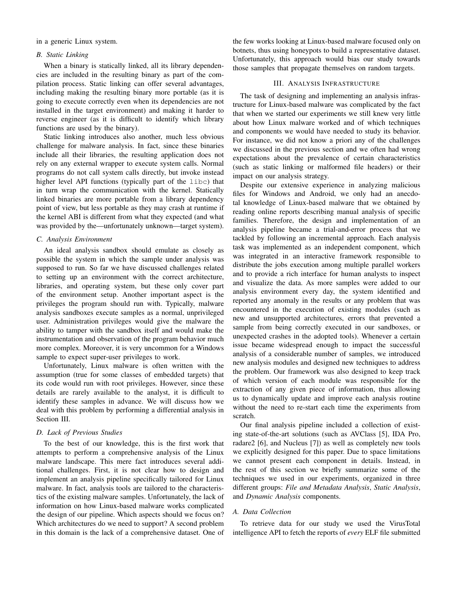in a generic Linux system.

# *B. Static Linking*

When a binary is statically linked, all its library dependencies are included in the resulting binary as part of the compilation process. Static linking can offer several advantages, including making the resulting binary more portable (as it is going to execute correctly even when its dependencies are not installed in the target environment) and making it harder to reverse engineer (as it is difficult to identify which library functions are used by the binary).

Static linking introduces also another, much less obvious challenge for malware analysis. In fact, since these binaries include all their libraries, the resulting application does not rely on any external wrapper to execute system calls. Normal programs do not call system calls directly, but invoke instead higher level API functions (typically part of the libc) that in turn wrap the communication with the kernel. Statically linked binaries are more portable from a library dependency point of view, but less portable as they may crash at runtime if the kernel ABI is different from what they expected (and what was provided by the—unfortunately unknown—target system).

### *C. Analysis Environment*

An ideal analysis sandbox should emulate as closely as possible the system in which the sample under analysis was supposed to run. So far we have discussed challenges related to setting up an environment with the correct architecture, libraries, and operating system, but these only cover part of the environment setup. Another important aspect is the privileges the program should run with. Typically, malware analysis sandboxes execute samples as a normal, unprivileged user. Administration privileges would give the malware the ability to tamper with the sandbox itself and would make the instrumentation and observation of the program behavior much more complex. Moreover, it is very uncommon for a Windows sample to expect super-user privileges to work.

Unfortunately, Linux malware is often written with the assumption (true for some classes of embedded targets) that its code would run with root privileges. However, since these details are rarely available to the analyst, it is difficult to identify these samples in advance. We will discuss how we deal with this problem by performing a differential analysis in Section [III.](#page-2-0)

# *D. Lack of Previous Studies*

To the best of our knowledge, this is the first work that attempts to perform a comprehensive analysis of the Linux malware landscape. This mere fact introduces several additional challenges. First, it is not clear how to design and implement an analysis pipeline specifically tailored for Linux malware. In fact, analysis tools are tailored to the characteristics of the existing malware samples. Unfortunately, the lack of information on how Linux-based malware works complicated the design of our pipeline. Which aspects should we focus on? Which architectures do we need to support? A second problem in this domain is the lack of a comprehensive dataset. One of the few works looking at Linux-based malware focused only on botnets, thus using honeypots to build a representative dataset. Unfortunately, this approach would bias our study towards those samples that propagate themselves on random targets.

#### III. ANALYSIS INFRASTRUCTURE

<span id="page-2-0"></span>The task of designing and implementing an analysis infrastructure for Linux-based malware was complicated by the fact that when we started our experiments we still knew very little about how Linux malware worked and of which techniques and components we would have needed to study its behavior. For instance, we did not know a priori any of the challenges we discussed in the previous section and we often had wrong expectations about the prevalence of certain characteristics (such as static linking or malformed file headers) or their impact on our analysis strategy.

Despite our extensive experience in analyzing malicious files for Windows and Android, we only had an anecdotal knowledge of Linux-based malware that we obtained by reading online reports describing manual analysis of specific families. Therefore, the design and implementation of an analysis pipeline became a trial-and-error process that we tackled by following an incremental approach. Each analysis task was implemented as an independent component, which was integrated in an interactive framework responsible to distribute the jobs execution among multiple parallel workers and to provide a rich interface for human analysts to inspect and visualize the data. As more samples were added to our analysis environment every day, the system identified and reported any anomaly in the results or any problem that was encountered in the execution of existing modules (such as new and unsupported architectures, errors that prevented a sample from being correctly executed in our sandboxes, or unexpected crashes in the adopted tools). Whenever a certain issue became widespread enough to impact the successful analysis of a considerable number of samples, we introduced new analysis modules and designed new techniques to address the problem. Our framework was also designed to keep track of which version of each module was responsible for the extraction of any given piece of information, thus allowing us to dynamically update and improve each analysis routine without the need to re-start each time the experiments from scratch.

Our final analysis pipeline included a collection of existing state-of-the-art solutions (such as AVClass [\[5\]](#page-13-4), IDA Pro, radare2 [\[6\]](#page-13-5), and Nucleus [\[7\]](#page-13-6)) as well as completely new tools we explicitly designed for this paper. Due to space limitations we cannot present each component in details. Instead, in the rest of this section we briefly summarize some of the techniques we used in our experiments, organized in three different groups: *File and Metadata Analysis*, *Static Analysis*, and *Dynamic Analysis* components.

#### *A. Data Collection*

To retrieve data for our study we used the VirusTotal intelligence API to fetch the reports of *every* ELF file submitted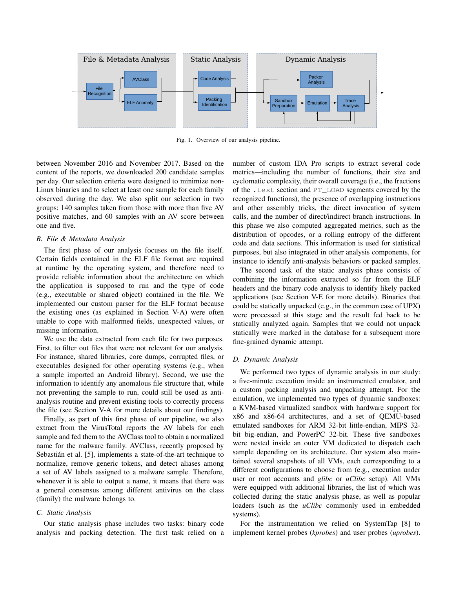

Fig. 1. Overview of our analysis pipeline.

between November 2016 and November 2017. Based on the content of the reports, we downloaded 200 candidate samples per day. Our selection criteria were designed to minimize non-Linux binaries and to select at least one sample for each family observed during the day. We also split our selection in two groups: 140 samples taken from those with more than five AV positive matches, and 60 samples with an AV score between one and five.

### *B. File & Metadata Analysis*

The first phase of our analysis focuses on the file itself. Certain fields contained in the ELF file format are required at runtime by the operating system, and therefore need to provide reliable information about the architecture on which the application is supposed to run and the type of code (e.g., executable or shared object) contained in the file. We implemented our custom parser for the ELF format because the existing ones (as explained in Section [V-A\)](#page-5-0) were often unable to cope with malformed fields, unexpected values, or missing information.

We use the data extracted from each file for two purposes. First, to filter out files that were not relevant for our analysis. For instance, shared libraries, core dumps, corrupted files, or executables designed for other operating systems (e.g., when a sample imported an Android library). Second, we use the information to identify any anomalous file structure that, while not preventing the sample to run, could still be used as antianalysis routine and prevent existing tools to correctly process the file (see Section [V-A](#page-5-0) for more details about our findings).

Finally, as part of this first phase of our pipeline, we also extract from the VirusTotal reports the AV labels for each sample and fed them to the AVClass tool to obtain a normalized name for the malware family. AVClass, recently proposed by Sebastián et al. [[5\]](#page-13-4), implements a state-of-the-art technique to normalize, remove generic tokens, and detect aliases among a set of AV labels assigned to a malware sample. Therefore, whenever it is able to output a name, it means that there was a general consensus among different antivirus on the class (family) the malware belongs to.

# *C. Static Analysis*

Our static analysis phase includes two tasks: binary code analysis and packing detection. The first task relied on a number of custom IDA Pro scripts to extract several code metrics—including the number of functions, their size and cyclomatic complexity, their overall coverage (i.e., the fractions of the .text section and PT\_LOAD segments covered by the recognized functions), the presence of overlapping instructions and other assembly tricks, the direct invocation of system calls, and the number of direct/indirect branch instructions. In this phase we also computed aggregated metrics, such as the distribution of opcodes, or a rolling entropy of the different code and data sections. This information is used for statistical purposes, but also integrated in other analysis components, for instance to identify anti-analysis behaviors or packed samples.

The second task of the static analysis phase consists of combining the information extracted so far from the ELF headers and the binary code analysis to identify likely packed applications (see Section [V-E](#page-8-0) for more details). Binaries that could be statically unpacked (e.g., in the common case of UPX) were processed at this stage and the result fed back to be statically analyzed again. Samples that we could not unpack statically were marked in the database for a subsequent more fine-grained dynamic attempt.

# <span id="page-3-0"></span>*D. Dynamic Analysis*

We performed two types of dynamic analysis in our study: a five-minute execution inside an instrumented emulator, and a custom packing analysis and unpacking attempt. For the emulation, we implemented two types of dynamic sandboxes: a KVM-based virtualized sandbox with hardware support for x86 and x86-64 architectures, and a set of QEMU-based emulated sandboxes for ARM 32-bit little-endian, MIPS 32 bit big-endian, and PowerPC 32-bit. These five sandboxes were nested inside an outer VM dedicated to dispatch each sample depending on its architecture. Our system also maintained several snapshots of all VMs, each corresponding to a different configurations to choose from (e.g., execution under user or root accounts and *glibc* or *uClibc* setup). All VMs were equipped with additional libraries, the list of which was collected during the static analysis phase, as well as popular loaders (such as the *uClibc* commonly used in embedded systems).

For the instrumentation we relied on SystemTap [\[8\]](#page-13-7) to implement kernel probes (*kprobes*) and user probes (*uprobes*).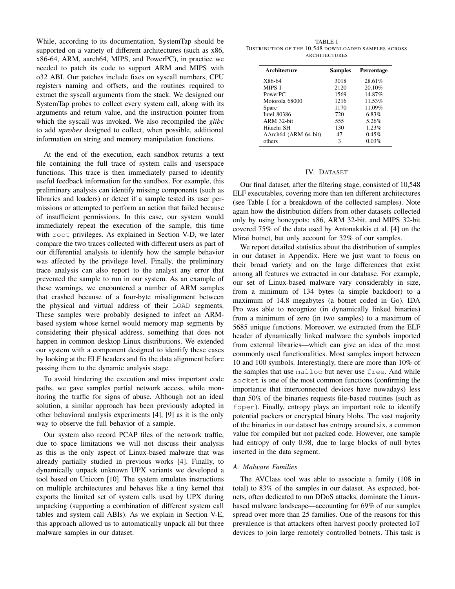While, according to its documentation, SystemTap should be supported on a variety of different architectures (such as x86, x86-64, ARM, aarch64, MIPS, and PowerPC), in practice we needed to patch its code to support ARM and MIPS with o32 ABI. Our patches include fixes on syscall numbers, CPU registers naming and offsets, and the routines required to extract the syscall arguments from the stack. We designed our SystemTap probes to collect every system call, along with its arguments and return value, and the instruction pointer from which the syscall was invoked. We also recompiled the *glibc* to add *uprobes* designed to collect, when possible, additional information on string and memory manipulation functions.

At the end of the execution, each sandbox returns a text file containing the full trace of system calls and userspace functions. This trace is then immediately parsed to identify useful feedback information for the sandbox. For example, this preliminary analysis can identify missing components (such as libraries and loaders) or detect if a sample tested its user permissions or attempted to perform an action that failed because of insufficient permissions. In this case, our system would immediately repeat the execution of the sample, this time with root privileges. As explained in Section [V-D,](#page-7-0) we later compare the two traces collected with different users as part of our differential analysis to identify how the sample behavior was affected by the privilege level. Finally, the preliminary trace analysis can also report to the analyst any error that prevented the sample to run in our system. As an example of these warnings, we encountered a number of ARM samples that crashed because of a four-byte misalignment between the physical and virtual address of their LOAD segments. These samples were probably designed to infect an ARMbased system whose kernel would memory map segments by considering their physical address, something that does not happen in common desktop Linux distributions. We extended our system with a component designed to identify these cases by looking at the ELF headers and fix the data alignment before passing them to the dynamic analysis stage.

To avoid hindering the execution and miss important code paths, we gave samples partial network access, while monitoring the traffic for signs of abuse. Although not an ideal solution, a similar approach has been previously adopted in other behavioral analysis experiments [\[4\]](#page-13-3), [\[9\]](#page-13-8) as it is the only way to observe the full behavior of a sample.

Our system also record PCAP files of the network traffic, due to space limitations we will not discuss their analysis as this is the only aspect of Linux-based malware that was already partially studied in previous works [\[4\]](#page-13-3). Finally, to dynamically unpack unknown UPX variants we developed a tool based on Unicorn [\[10\]](#page-13-9). The system emulates instructions on multiple architectures and behaves like a tiny kernel that exports the limited set of system calls used by UPX during unpacking (supporting a combination of different system call tables and system call ABIs). As we explain in Section [V-E,](#page-8-0) this approach allowed us to automatically unpack all but three malware samples in our dataset.

<span id="page-4-0"></span>TABLE I DISTRIBUTION OF THE 10,548 DOWNLOADED SAMPLES ACROSS **ARCHITECTURES** 

| Architecture         | <b>Samples</b> | Percentage |
|----------------------|----------------|------------|
| X86-64               | 3018           | 28.61%     |
| MIPS I               | 2120           | 20.10%     |
| PowerPC              | 1569           | 14.87%     |
| Motorola 68000       | 1216           | 11.53%     |
| Sparc                | 1170           | 11.09%     |
| Intel 80386          | 720            | 6.83%      |
| ARM 32-bit           | 555            | 5.26%      |
| Hitachi SH           | 130            | 1.23%      |
| AArch64 (ARM 64-bit) | 47             | 0.45%      |
| others               | 3              | 0.03%      |

# IV. DATASET

Our final dataset, after the filtering stage, consisted of 10,548 ELF executables, covering more than ten different architectures (see Table [I](#page-4-0) for a breakdown of the collected samples). Note again how the distribution differs from other datasets collected only by using honeypots: x86, ARM 32-bit, and MIPS 32-bit covered 75% of the data used by Antonakakis et al. [\[4\]](#page-13-3) on the Mirai botnet, but only account for 32% of our samples.

We report detailed statistics about the distribution of samples in our dataset in Appendix. Here we just want to focus on their broad variety and on the large differences that exist among all features we extracted in our database. For example, our set of Linux-based malware vary considerably in size, from a minimum of 134 bytes (a simple backdoor) to a maximum of 14.8 megabytes (a botnet coded in Go). IDA Pro was able to recognize (in dynamically linked binaries) from a minimum of zero (in two samples) to a maximum of 5685 unique functions. Moreover, we extracted from the ELF header of dynamically linked malware the symbols imported from external libraries—which can give an idea of the most commonly used functionalities. Most samples import between 10 and 100 symbols. Interestingly, there are more than 10% of the samples that use malloc but never use free. And while socket is one of the most common functions (confirming the importance that interconnected devices have nowadays) less than 50% of the binaries requests file-based routines (such as fopen). Finally, entropy plays an important role to identify potential packers or encrypted binary blobs. The vast majority of the binaries in our dataset has entropy around six, a common value for compiled but not packed code. However, one sample had entropy of only 0.98, due to large blocks of null bytes inserted in the data segment.

# *A. Malware Families*

The AVClass tool was able to associate a family (108 in total) to 83% of the samples in our dataset. As expected, botnets, often dedicated to run DDoS attacks, dominate the Linuxbased malware landscape—accounting for 69% of our samples spread over more than 25 families. One of the reasons for this prevalence is that attackers often harvest poorly protected IoT devices to join large remotely controlled botnets. This task is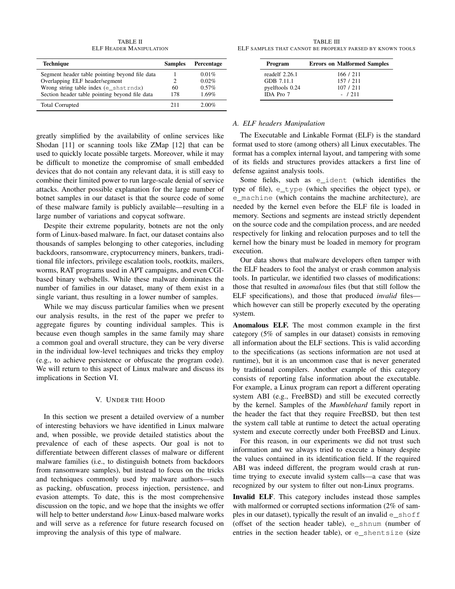TABLE II ELF HEADER MANIPULATION

<span id="page-5-1"></span>

| <b>Technique</b>                               | <b>Samples</b> | Percentage |
|------------------------------------------------|----------------|------------|
| Segment header table pointing beyond file data |                | 0.01%      |
| Overlapping ELF header/segment                 |                | 0.02%      |
| Wrong string table index (e_shstrndx)          | 60             | 0.57%      |
| Section header table pointing beyond file data | 178            | 1.69%      |
| <b>Total Corrupted</b>                         | 211            | 2.00%      |

greatly simplified by the availability of online services like Shodan [\[11\]](#page-13-10) or scanning tools like ZMap [\[12\]](#page-13-11) that can be used to quickly locate possible targets. Moreover, while it may be difficult to monetize the compromise of small embedded devices that do not contain any relevant data, it is still easy to combine their limited power to run large-scale denial of service attacks. Another possible explanation for the large number of botnet samples in our dataset is that the source code of some of these malware family is publicly available—resulting in a large number of variations and copycat software.

Despite their extreme popularity, botnets are not the only form of Linux-based malware. In fact, our dataset contains also thousands of samples belonging to other categories, including backdoors, ransomware, cryptocurrency miners, bankers, traditional file infectors, privilege escalation tools, rootkits, mailers, worms, RAT programs used in APT campaigns, and even CGIbased binary webshells. While these malware dominates the number of families in our dataset, many of them exist in a single variant, thus resulting in a lower number of samples.

While we may discuss particular families when we present our analysis results, in the rest of the paper we prefer to aggregate figures by counting individual samples. This is because even though samples in the same family may share a common goal and overall structure, they can be very diverse in the individual low-level techniques and tricks they employ (e.g., to achieve persistence or obfuscate the program code). We will return to this aspect of Linux malware and discuss its implications in Section [VI.](#page-12-0)

# V. UNDER THE HOOD

In this section we present a detailed overview of a number of interesting behaviors we have identified in Linux malware and, when possible, we provide detailed statistics about the prevalence of each of these aspects. Our goal is not to differentiate between different classes of malware or different malware families (i.e., to distinguish botnets from backdoors from ransomware samples), but instead to focus on the tricks and techniques commonly used by malware authors—such as packing, obfuscation, process injection, persistence, and evasion attempts. To date, this is the most comprehensive discussion on the topic, and we hope that the insights we offer will help to better understand *how* Linux-based malware works and will serve as a reference for future research focused on improving the analysis of this type of malware.

<span id="page-5-2"></span>TABLE III ELF SAMPLES THAT CANNOT BE PROPERLY PARSED BY KNOWN TOOLS

| Program          | <b>Errors on Malformed Samples</b> |
|------------------|------------------------------------|
| readelf 2.26.1   | 166 / 211                          |
| GDB 7.11.1       | 157 / 211                          |
| pyelftools 0.24  | 107/211                            |
| <b>IDA</b> Pro 7 | $-1211$                            |

# <span id="page-5-0"></span>*A. ELF headers Manipulation*

The Executable and Linkable Format (ELF) is the standard format used to store (among others) all Linux executables. The format has a complex internal layout, and tampering with some of its fields and structures provides attackers a first line of defense against analysis tools.

Some fields, such as e\_ident (which identifies the type of file), e\_type (which specifies the object type), or e\_machine (which contains the machine architecture), are needed by the kernel even before the ELF file is loaded in memory. Sections and segments are instead strictly dependent on the source code and the compilation process, and are needed respectively for linking and relocation purposes and to tell the kernel how the binary must be loaded in memory for program execution.

Our data shows that malware developers often tamper with the ELF headers to fool the analyst or crash common analysis tools. In particular, we identified two classes of modifications: those that resulted in *anomalous* files (but that still follow the ELF specifications), and those that produced *invalid* files which however can still be properly executed by the operating system.

Anomalous ELF. The most common example in the first category (5% of samples in our dataset) consists in removing all information about the ELF sections. This is valid according to the specifications (as sections information are not used at runtime), but it is an uncommon case that is never generated by traditional compilers. Another example of this category consists of reporting false information about the executable. For example, a Linux program can report a different operating system ABI (e.g., FreeBSD) and still be executed correctly by the kernel. Samples of the *Mumblehard* family report in the header the fact that they require FreeBSD, but then test the system call table at runtime to detect the actual operating system and execute correctly under both FreeBSD and Linux.

For this reason, in our experiments we did not trust such information and we always tried to execute a binary despite the values contained in its identification field. If the required ABI was indeed different, the program would crash at runtime trying to execute invalid system calls—a case that was recognized by our system to filter out non-Linux programs.

Invalid ELF. This category includes instead those samples with malformed or corrupted sections information (2% of samples in our dataset), typically the result of an invalid e\_shoff (offset of the section header table), e\_shnum (number of entries in the section header table), or e\_shentsize (size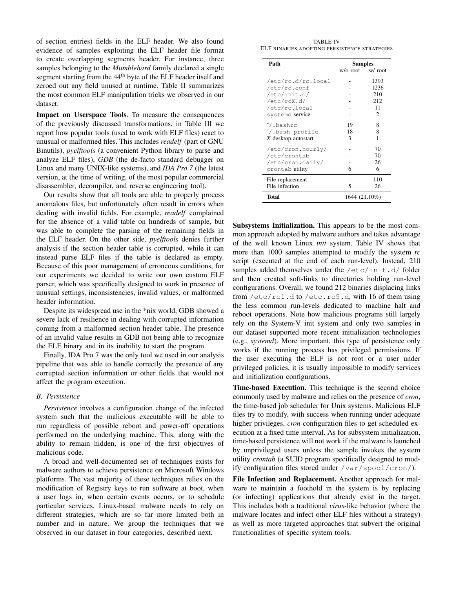of section entries) fields in the ELF header. We also found evidence of samples exploiting the ELF header file format to create overlapping segments header. For instance, three samples belonging to the *Mumblehard* family declared a single segment starting from the 44<sup>th</sup> byte of the ELF header itself and zeroed out any field unused at runtime. Table [II](#page-5-1) summarizes the most common ELF manipulation tricks we observed in our dataset.

Impact on Userspace Tools. To measure the consequences of the previously discussed transformations, in Table [III](#page-5-2) we report how popular tools (used to work with ELF files) react to unusual or malformed files. This includes *readelf* (part of GNU Binutils), *pyelftools* (a convenient Python library to parse and analyze ELF files), *GDB* (the de-facto standard debugger on Linux and many UNIX-like systems), and *IDA Pro 7* (the latest version, at the time of writing, of the most popular commercial disassembler, decompiler, and reverse engineering tool).

Our results show that all tools are able to properly process anomalous files, but unfortunately often result in errors when dealing with invalid fields. For example, *readelf* complained for the absence of a valid table on hundreds of sample, but was able to complete the parsing of the remaining fields in the ELF header. On the other side, *pyelftools* denies further analysis if the section header table is corrupted, while it can instead parse ELF files if the table is declared as empty. Because of this poor management of erroneous conditions, for our experiments we decided to write our own custom ELF parser, which was specifically designed to work in presence of unusual settings, inconsistencies, invalid values, or malformed header information.

Despite its widespread use in the \*nix world, GDB showed a severe lack of resilience in dealing with corrupted information coming from a malformed section header table. The presence of an invalid value results in GDB not being able to recognize the ELF binary and in its inability to start the program.

Finally, IDA Pro 7 was the only tool we used in our analysis pipeline that was able to handle correctly the presence of any corrupted section information or other fields that would not affect the program execution.

# *B. Persistence*

*Persistence* involves a configuration change of the infected system such that the malicious executable will be able to run regardless of possible reboot and power-off operations performed on the underlying machine. This, along with the ability to remain hidden, is one of the first objectives of malicious code.

A broad and well-documented set of techniques exists for malware authors to achieve persistence on Microsoft Windows platforms. The vast majority of these techniques relies on the modification of Registry keys to run software at boot, when a user logs in, when certain events occurs, or to schedule particular services. Linux-based malware needs to rely on different strategies, which are so far more limited both in number and in nature. We group the techniques that we observed in our dataset in four categories, described next.

<span id="page-6-0"></span>TABLE IV ELF BINARIES ADOPTING PERSISTENCE STRATEGIES

| Path                | <b>Samples</b>       |               |
|---------------------|----------------------|---------------|
|                     | $w/o$ root $w/$ root |               |
| /etc/rc.d/rc.local  |                      | 1393          |
| /etc/rc.conf        |                      | 1236          |
| /etc/init.d/        |                      | 210           |
| /etc/rcX.d/         |                      | 212           |
| /etc/rc.local       |                      | 11            |
| systemd service     |                      | $\mathcal{L}$ |
| "/.bashrc           | 19                   | 8             |
| "/.bash_profile     | 18                   | 8             |
| X desktop autostart | 3                    | 1             |
| /etc/cron.hourly/   |                      | 70            |
| /etc/crontab        |                      | 70            |
| /etc/cron.daily/    |                      | 26            |
| crontab utility     | 6                    | 6             |
| File replacement    |                      | 110           |
| File infection      | 5                    | 26            |
| Total               | 1644 (21.10%)        |               |

Subsystems Initialization. This appears to be the most common approach adopted by malware authors and takes advantage of the well known Linux *init* system. Table [IV](#page-6-0) shows that more than 1000 samples attempted to modify the system *rc* script (executed at the end of each run-level). Instead, 210 samples added themselves under the /etc/init.d/ folder and then created soft-links to directories holding run-level configurations. Overall, we found 212 binaries displacing links from /etc/rc1.d to /etc.rc5.d, with 16 of them using the less common run-levels dedicated to machine halt and reboot operations. Note how malicious programs still largely rely on the System-V init system and only two samples in our dataset supported more recent initialization technologies (e.g., *systemd*). More important, this type of persistence only works if the running process has privileged permissions. If the user executing the ELF is not root or a user under privileged policies, it is usually impossible to modify services and initialization configurations.

Time-based Execution. This technique is the second choice commonly used by malware and relies on the presence of *cron*, the time-based job scheduler for Unix systems. Malicious ELF files try to modify, with success when running under adequate higher privileges, *cron* configuration files to get scheduled execution at a fixed time interval. As for subsystem initialization, time-based persistence will not work if the malware is launched by unprivileged users unless the sample invokes the system utility *crontab* (a SUID program specifically designed to modify configuration files stored under /var/spool/cron/).

File Infection and Replacement. Another approach for malware to maintain a foothold in the system is by replacing (or infecting) applications that already exist in the target. This includes both a traditional *virus*-like behavior (where the malware locates and infect other ELF files without a strategy) as well as more targeted approaches that subvert the original functionalities of specific system tools.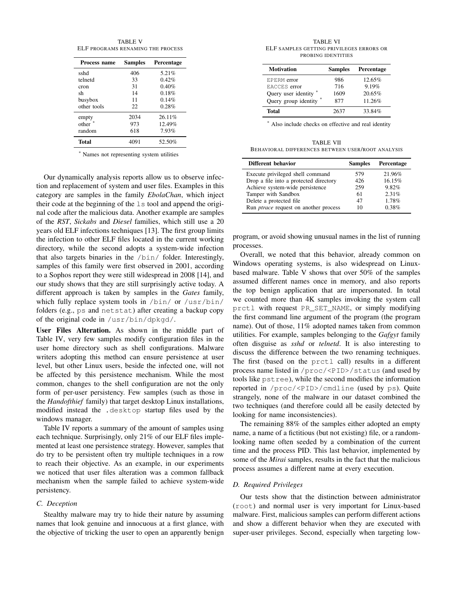<span id="page-7-1"></span>

| <b>TABLE V</b>                    |
|-----------------------------------|
| ELF PROGRAMS RENAMING THE PROCESS |

| Process name | Samples | Percentage |
|--------------|---------|------------|
| sshd         | 406     | 5.21%      |
| telnetd      | 33      | 0.42%      |
| cron         | 31      | 0.40%      |
| sh           | 14      | 0.18%      |
| busybox      | 11      | 0.14%      |
| other tools  | 22      | 0.28%      |
| empty        | 2034    | 26.11%     |
| other        | 973     | 12.49%     |
| random       | 618     | 7.93%      |
| Total        | 4091    | 52.50%     |

\* Names not representing system utilities

Our dynamically analysis reports allow us to observe infection and replacement of system and user files. Examples in this category are samples in the family *EbolaChan*, which inject their code at the beginning of the ls tool and append the original code after the malicious data. Another example are samples of the *RST*, *Sickabs* and *Diesel* families, which still use a 20 years old ELF infections techniques [\[13\]](#page-13-12). The first group limits the infection to other ELF files located in the current working directory, while the second adopts a system-wide infection that also targets binaries in the /bin/ folder. Interestingly, samples of this family were first observed in 2001, according to a Sophos report they were still widespread in 2008 [\[14\]](#page-13-13), and our study shows that they are still surprisingly active today. A different approach is taken by samples in the *Gates* family, which fully replace system tools in /bin/ or /usr/bin/ folders (e.g., ps and netstat) after creating a backup copy of the original code in /usr/bin/dpkgd/.

User Files Alteration. As shown in the middle part of Table [IV,](#page-6-0) very few samples modify configuration files in the user home directory such as shell configurations. Malware writers adopting this method can ensure persistence at user level, but other Linux users, beside the infected one, will not be affected by this persistence mechanism. While the most common, changes to the shell configuration are not the only form of per-user persistency. Few samples (such as those in the *Handofthief* family) that target desktop Linux installations, modified instead the .desktop startup files used by the windows manager.

Table [IV](#page-6-0) reports a summary of the amount of samples using each technique. Surprisingly, only 21% of our ELF files implemented at least one persistence strategy. However, samples that do try to be persistent often try multiple techniques in a row to reach their objective. As an example, in our experiments we noticed that user files alteration was a common fallback mechanism when the sample failed to achieve system-wide persistency.

### *C. Deception*

Stealthy malware may try to hide their nature by assuming names that look genuine and innocuous at a first glance, with the objective of tricking the user to open an apparently benign

TABLE VI ELF SAMPLES GETTING PRIVILEGES ERRORS OR PROBING IDENTITIES

| <b>Motivation</b>    | <b>Samples</b> | Percentage |
|----------------------|----------------|------------|
| EPERM error          | 986            | 12.65%     |
| EACCES error         | 716            | 9.19%      |
| Query user identity  | 1609           | 20.65%     |
| Query group identity | 877            | 11.26%     |
| Total                | 2637           | 33.84%     |

\* Also include checks on effective and real identity

<span id="page-7-2"></span>TABLE VII BEHAVIORAL DIFFERENCES BETWEEN USER/ROOT ANALYSIS

| Different behavior                           | <b>Samples</b> | Percentage |
|----------------------------------------------|----------------|------------|
| Execute privileged shell command             | 579            | 21.96%     |
| Drop a file into a protected directory       | 426            | 16.15%     |
| Achieve system-wide persistence              | 259            | 9.82%      |
| Tamper with Sandbox                          | 61             | 2.31%      |
| Delete a protected file                      | 47             | 1.78%      |
| Run <i>ptrace</i> request on another process | 10             | 0.38%      |

program, or avoid showing unusual names in the list of running processes.

Overall, we noted that this behavior, already common on Windows operating systems, is also widespread on Linuxbased malware. Table [V](#page-7-1) shows that over 50% of the samples assumed different names once in memory, and also reports the top benign application that are impersonated. In total we counted more than 4K samples invoking the system call prctl with request PR\_SET\_NAME, or simply modifying the first command line argument of the program (the program name). Out of those, 11% adopted names taken from common utilities. For example, samples belonging to the *Gafgyt* family often disguise as *sshd* or *telnetd*. It is also interesting to discuss the difference between the two renaming techniques. The first (based on the protel call) results in a different process name listed in /proc/<PID>/status (and used by tools like pstree), while the second modifies the information reported in /proc/<PID>/cmdline (used by ps). Quite strangely, none of the malware in our dataset combined the two techniques (and therefore could all be easily detected by looking for name inconsistencies).

The remaining 88% of the samples either adopted an empty name, a name of a fictitious (but not existing) file, or a randomlooking name often seeded by a combination of the current time and the process PID. This last behavior, implemented by some of the *Mirai* samples, results in the fact that the malicious process assumes a different name at every execution.

#### <span id="page-7-0"></span>*D. Required Privileges*

Our tests show that the distinction between administrator (root) and normal user is very important for Linux-based malware. First, malicious samples can perform different actions and show a different behavior when they are executed with super-user privileges. Second, especially when targeting low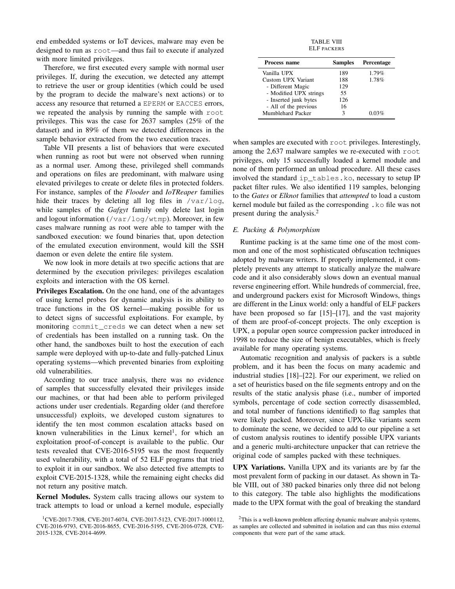end embedded systems or IoT devices, malware may even be designed to run as root—and thus fail to execute if analyzed with more limited privileges.

Therefore, we first executed every sample with normal user privileges. If, during the execution, we detected any attempt to retrieve the user or group identities (which could be used by the program to decide the malware's next actions) or to access any resource that returned a EPERM or EACCES errors, we repeated the analysis by running the sample with root privileges. This was the case for 2637 samples (25% of the dataset) and in 89% of them we detected differences in the sample behavior extracted from the two execution traces.

Table [VII](#page-7-2) presents a list of behaviors that were executed when running as root but were not observed when running as a normal user. Among these, privileged shell commands and operations on files are predominant, with malware using elevated privileges to create or delete files in protected folders. For instance, samples of the *Flooder* and *IoTReaper* families hide their traces by deleting all log files in  $/\text{var}/\text{log}$ , while samples of the *Gafgyt* family only delete last login and logout information  $(\sqrt{var}/log/\text{wtmp})$ . Moreover, in few cases malware running as root were able to tamper with the sandboxed execution: we found binaries that, upon detection of the emulated execution environment, would kill the SSH daemon or even delete the entire file system.

We now look in more details at two specific actions that are determined by the execution privileges: privileges escalation exploits and interaction with the OS kernel.

Privileges Escalation. On the one hand, one of the advantages of using kernel probes for dynamic analysis is its ability to trace functions in the OS kernel—making possible for us to detect signs of successful exploitations. For example, by monitoring commit\_creds we can detect when a new set of credentials has been installed on a running task. On the other hand, the sandboxes built to host the execution of each sample were deployed with up-to-date and fully-patched Linux operating systems—which prevented binaries from exploiting old vulnerabilities.

According to our trace analysis, there was no evidence of samples that successfully elevated their privileges inside our machines, or that had been able to perform privileged actions under user credentials. Regarding older (and therefore unsuccessful) exploits, we developed custom signatures to identify the ten most common escalation attacks based on known vulnerabilities in the Linux kernel<sup>[1](#page-8-1)</sup>, for which an exploitation proof-of-concept is available to the public. Our tests revealed that CVE-2016-5195 was the most frequently used vulnerability, with a total of 52 ELF programs that tried to exploit it in our sandbox. We also detected five attempts to exploit CVE-2015-1328, while the remaining eight checks did not return any positive match.

Kernel Modules. System calls tracing allows our system to track attempts to load or unload a kernel module, especially

TABLE VIII ELF PACKERS

<span id="page-8-3"></span>

| Process name           | <b>Samples</b> | Percentage |
|------------------------|----------------|------------|
| Vanilla UPX            | 189            | 1.79%      |
| Custom UPX Variant     | 188            | 1.78%      |
| - Different Magic      | 129            |            |
| - Modified UPX strings | 55             |            |
| - Inserted junk bytes  | 126            |            |
| - All of the previous  | 16             |            |
| Mumblehard Packer      |                | 0.03%      |

when samples are executed with root privileges. Interestingly, among the 2,637 malware samples we re-executed with root privileges, only 15 successfully loaded a kernel module and none of them performed an unload procedure. All these cases involved the standard ip\_tables.ko, necessary to setup IP packet filter rules. We also identified 119 samples, belonging to the *Gates* or *Elknot* families that *attempted* to load a custom kernel module but failed as the corresponding .ko file was not present during the analysis.[2](#page-8-2)

# <span id="page-8-0"></span>*E. Packing & Polymorphism*

Runtime packing is at the same time one of the most common and one of the most sophisticated obfuscation techniques adopted by malware writers. If properly implemented, it completely prevents any attempt to statically analyze the malware code and it also considerably slows down an eventual manual reverse engineering effort. While hundreds of commercial, free, and underground packers exist for Microsoft Windows, things are different in the Linux world: only a handful of ELF packers have been proposed so far [\[15\]](#page-13-14)–[\[17\]](#page-13-15), and the vast majority of them are proof-of-concept projects. The only exception is UPX, a popular open source compression packer introduced in 1998 to reduce the size of benign executables, which is freely available for many operating systems.

Automatic recognition and analysis of packers is a subtle problem, and it has been the focus on many academic and industrial studies [\[18\]](#page-13-16)–[\[22\]](#page-13-17). For our experiment, we relied on a set of heuristics based on the file segments entropy and on the results of the static analysis phase (i.e., number of imported symbols, percentage of code section correctly disassembled, and total number of functions identified) to flag samples that were likely packed. Moreover, since UPX-like variants seem to dominate the scene, we decided to add to our pipeline a set of custom analysis routines to identify possible UPX variants and a generic multi-architecture unpacker that can retrieve the original code of samples packed with these techniques.

UPX Variations. Vanilla UPX and its variants are by far the most prevalent form of packing in our dataset. As shown in Table [VIII,](#page-8-3) out of 380 packed binaries only three did not belong to this category. The table also highlights the modifications made to the UPX format with the goal of breaking the standard

<span id="page-8-1"></span><sup>1</sup>CVE-2017-7308, CVE-2017-6074, CVE-2017-5123, CVE-2017-1000112, CVE-2016-9793, CVE-2016-8655, CVE-2016-5195, CVE-2016-0728, CVE-2015-1328, CVE-2014-4699.

<span id="page-8-2"></span><sup>2</sup>This is a well-known problem affecting dynamic malware analysis systems, as samples are collected and submitted in isolation and can thus miss external components that were part of the same attack.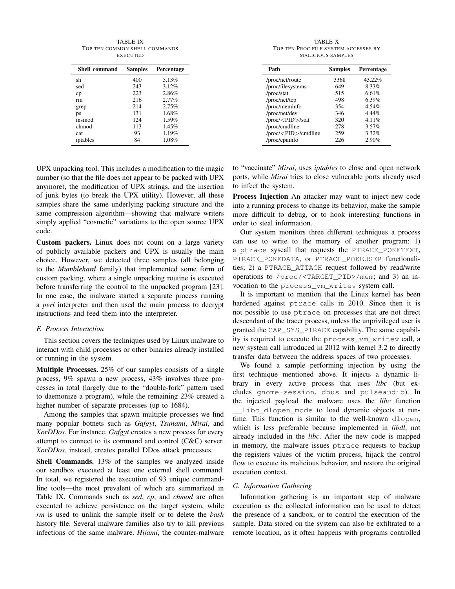<span id="page-9-0"></span>

| <b>TABLE IX</b>               |
|-------------------------------|
| TOP TEN COMMON SHELL COMMANDS |
| <b>EXECUTED</b>               |

| Shell command | <b>Samples</b> | Percentage |
|---------------|----------------|------------|
| sh            | 400            | 5.13%      |
| sed           | 243            | 3.12%      |
| cp            | 223            | 2.86%      |
| rm            | 216            | 2.77%      |
| grep          | 214            | 2.75%      |
| ps            | 131            | 1.68%      |
| insmod        | 124            | 1.59%      |
| chmod         | 113            | 1.45%      |
| cat           | 93             | 1.19%      |
| iptables      | 84             | 1.08%      |

<span id="page-9-1"></span>TABLE X TOP TEN PROC FILE SYSTEM ACCESSES BY MALICIOUS SAMPLES

| Path                       | <b>Samples</b> | Percentage |
|----------------------------|----------------|------------|
| /proc/net/route            | 3368           | 43.22%     |
| /proc/filesystems          | 649            | 8.33%      |
| /proc/stat                 | 515            | 6.61%      |
| /proc/net/tcp              | 498            | $6.39\%$   |
| /proc/meminfo              | 354            | 4.54%      |
| /proc/net/dev              | 346            | 4.44%      |
| /proc/ <pid>/stat</pid>    | 320            | $4.11\%$   |
| /proc/cmdline              | 278            | 3.57%      |
| /proc/ <pid>/cmdline</pid> | 259            | 3.32%      |
| /proc/cpuinfo              | 226            | 2.90%      |

UPX unpacking tool. This includes a modification to the magic number (so that the file does not appear to be packed with UPX anymore), the modification of UPX strings, and the insertion of junk bytes (to break the UPX utility). However, all these samples share the same underlying packing structure and the same compression algorithm—showing that malware writers simply applied "cosmetic" variations to the open source UPX code.

Custom packers. Linux does not count on a large variety of publicly available packers and UPX is usually the main choice. However, we detected three samples (all belonging to the *Mumblehard* family) that implemented some form of custom packing, where a single unpacking routine is executed before transferring the control to the unpacked program [\[23\]](#page-13-18). In one case, the malware started a separate process running a *perl* interpreter and then used the main process to decrypt instructions and feed them into the interpreter.

# <span id="page-9-2"></span>*F. Process Interaction*

This section covers the techniques used by Linux malware to interact with child processes or other binaries already installed or running in the system.

Multiple Processes. 25% of our samples consists of a single process, 9% spawn a new process, 43% involves three processes in total (largely due to the "double-fork" pattern used to daemonize a program), while the remaining 23% created a higher number of separate processes (up to 1684).

Among the samples that spawn multiple processes we find many popular botnets such as *Gafgyt*, *Tsunami*, *Mirai*, and *XorDDos*. For instance, *Gafgyt* creates a new process for every attempt to connect to its command and control (C&C) server. *XorDDos*, instead, creates parallel DDos attack processes.

Shell Commands. 13% of the samples we analyzed inside our sandbox executed at least one external shell command. In total, we registered the execution of 93 unique commandline tools—the most prevalent of which are summarized in Table [IX.](#page-9-0) Commands such as *sed*, *cp*, and *chmod* are often executed to achieve persistence on the target system, while *rm* is used to unlink the sample itself or to delete the *bash* history file. Several malware families also try to kill previous infections of the same malware. *Hijami*, the counter-malware to "vaccinate" *Mirai*, uses *iptables* to close and open network ports, while *Mirai* tries to close vulnerable ports already used to infect the system.

Process Injection An attacker may want to inject new code into a running process to change its behavior, make the sample more difficult to debug, or to hook interesting functions in order to steal information.

Our system monitors three different techniques a process can use to write to the memory of another program: 1) a ptrace syscall that requests the PTRACE\_POKETEXT, PTRACE\_POKEDATA, or PTRACE\_POKEUSER functionalities; 2) a PTRACE\_ATTACH request followed by read/write operations to /proc/<TARGET\_PID>/mem; and 3) an invocation to the process\_vm\_writev system call.

It is important to mention that the Linux kernel has been hardened against ptrace calls in 2010. Since then it is not possible to use ptrace on processes that are not direct descendant of the tracer process, unless the unprivileged user is granted the CAP\_SYS\_PTRACE capability. The same capability is required to execute the process\_vm\_writev call, a new system call introduced in 2012 with kernel 3.2 to directly transfer data between the address spaces of two processes.

We found a sample performing injection by using the first technique mentioned above. It injects a dynamic library in every active process that uses *libc* (but excludes gnome-session, dbus and pulseaudio). In the injected payload the malware uses the *libc* function \_\_libc\_dlopen\_mode to load dynamic objects at runtime. This function is similar to the well-known dlopen, which is less preferable because implemented in *libdl*, not already included in the *libc*. After the new code is mapped in memory, the malware issues ptrace requests to backup the registers values of the victim process, hijack the control flow to execute its malicious behavior, and restore the original execution context.

# *G. Information Gathering*

Information gathering is an important step of malware execution as the collected information can be used to detect the presence of a sandbox, or to control the execution of the sample. Data stored on the system can also be exfiltrated to a remote location, as it often happens with programs controlled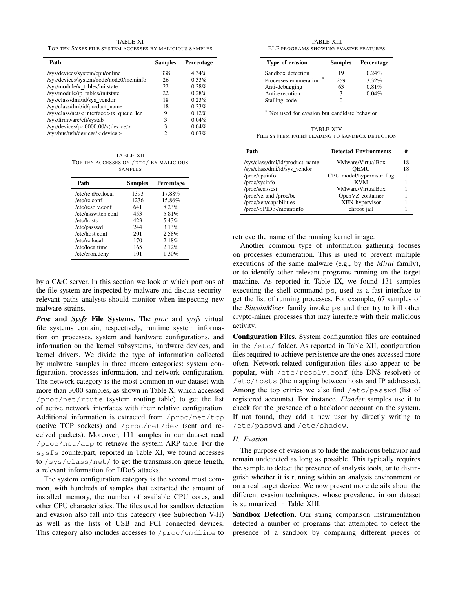<span id="page-10-0"></span>TABLE XI TOP TEN SYSFS FILE SYSTEM ACCESSES BY MALICIOUS SAMPLES

| Path                                                | <b>Samples</b> | Percentage |
|-----------------------------------------------------|----------------|------------|
| /sys/devices/system/cpu/online                      | 338            | $4.34\%$   |
| /sys/devices/system/node/node0/meminfo              | 26             | $0.33\%$   |
| /sys/module/x_tables/initstate                      | 22             | 0.28%      |
| /sys/module/ip_tables/initstate                     | 22             | 0.28%      |
| /sys/class/dmi/id/sys_vendor                        | 18             | 0.23%      |
| /sys/class/dmi/id/product_name                      | 18             | 0.23%      |
| /sys/class/net/ <interface>tx_queue_len</interface> | 9              | 0.12%      |
| /sys/firmware/efi/systab                            | 3              | 0.04%      |
| /sys/devices/pci0000:00/ <device></device>          | 3              | 0.04%      |
| /sys/bus/usb/devices/ <device></device>             | 2              | 0.03%      |

<span id="page-10-2"></span>TABLE XII TOP TEN ACCESSES ON /ETC/ BY MALICIOUS SAMPLES

| Path                  | <b>Samples</b> | Percentage |
|-----------------------|----------------|------------|
| $/etc$ /rc.d/rc.local | 1393           | 17.88%     |
| $/etc$ conf           | 1236           | 15.86%     |
| /etc/resoly.conf      | 641            | 8.23%      |
| /etc/nsswitch.conf    | 453            | 5.81%      |
| /etc/hosts            | 423            | 5.43%      |
| /etc/passwd           | 244            | 3.13%      |
| /etc/host.conf        | 201            | 2.58%      |
| /etc/rc.local         | 170            | 2.18%      |
| /etc/localtime        | 165            | 2.12%      |
| /etc/cron.deny        | 101            | 1.30%      |

by a C&C server. In this section we look at which portions of the file system are inspected by malware and discuss securityrelevant paths analysts should monitor when inspecting new malware strains.

*Proc* and *Sysfs* File Systems. The *proc* and *sysfs* virtual file systems contain, respectively, runtime system information on processes, system and hardware configurations, and information on the kernel subsystems, hardware devices, and kernel drivers. We divide the type of information collected by malware samples in three macro categories: system configuration, processes information, and network configuration. The network category is the most common in our dataset with more than 3000 samples, as shown in Table [X,](#page-9-1) which accessed /proc/net/route (system routing table) to get the list of active network interfaces with their relative configuration. Additional information is extracted from /proc/net/tcp (active TCP sockets) and /proc/net/dev (sent and received packets). Moreover, 111 samples in our dataset read /proc/net/arp to retrieve the system ARP table. For the sysfs counterpart, reported in Table [XI,](#page-10-0) we found accesses to /sys/class/net/ to get the transmission queue length, a relevant information for DDoS attacks.

The system configuration category is the second most common, with hundreds of samples that extracted the amount of installed memory, the number of available CPU cores, and other CPU characteristics. The files used for sandbox detection and evasion also fall into this category (see Subsection [V-H\)](#page-10-1) as well as the lists of USB and PCI connected devices. This category also includes accesses to /proc/cmdline to

<span id="page-10-3"></span>TABLE XIII ELF PROGRAMS SHOWING EVASIVE FEATURES

| Type of evasion       | <b>Samples</b> | Percentage |
|-----------------------|----------------|------------|
| Sandbox detection     | 19             | 0.24%      |
| Processes enumeration | 259            | 3.32%      |
| Anti-debugging        | 63             | 0.81%      |
| Anti-execution        | 3              | 0.04%      |
| Stalling code         |                |            |

\* Not used for evasion but candidate behavior

TABLE XIV FILE SYSTEM PATHS LEADING TO SANDBOX DETECTION

<span id="page-10-4"></span>

| Path                           | <b>Detected Environments</b> |    |
|--------------------------------|------------------------------|----|
| /sys/class/dmi/id/product_name | VMware/VirtualBox            | 18 |
| /sys/class/dmi/id/sys_vendor   | <b>OEMU</b>                  | 18 |
| /proc/cpuinfo                  | CPU model/hypervisor flag    |    |
| /proc/sysinfo                  | <b>KVM</b>                   |    |
| /proc/scsi/scsi                | VMware/VirtualBox            |    |
| /proc/vz and /proc/bc          | OpenVZ container             |    |
| /proc/xen/capabilities         | XEN hypervisor               |    |
| /proc/ <pid>/mountinfo</pid>   | chroot jail                  |    |

retrieve the name of the running kernel image.

Another common type of information gathering focuses on processes enumeration. This is used to prevent multiple executions of the same malware (e.g., by the *Mirai* family), or to identify other relevant programs running on the target machine. As reported in Table [IX,](#page-9-0) we found 131 samples executing the shell command ps, used as a fast interface to get the list of running processes. For example, 67 samples of the *BitcoinMiner* family invoke ps and then try to kill other crypto-miner processes that may interfere with their malicious activity.

Configuration Files. System configuration files are contained in the /etc/ folder. As reported in Table [XII,](#page-10-2) configuration files required to achieve persistence are the ones accessed more often. Network-related configuration files also appear to be popular, with /etc/resolv.conf (the DNS resolver) or /etc/hosts (the mapping between hosts and IP addresses). Among the top entries we also find /etc/passwd (list of registered accounts). For instance, *Flooder* samples use it to check for the presence of a backdoor account on the system. If not found, they add a new user by directly writing to /etc/passwd and /etc/shadow.

# <span id="page-10-1"></span>*H. Evasion*

The purpose of evasion is to hide the malicious behavior and remain undetected as long as possible. This typically requires the sample to detect the presence of analysis tools, or to distinguish whether it is running within an analysis environment or on a real target device. We now present more details about the different evasion techniques, whose prevalence in our dataset is summarized in Table [XIII.](#page-10-3)

Sandbox Detection. Our string comparison instrumentation detected a number of programs that attempted to detect the presence of a sandbox by comparing different pieces of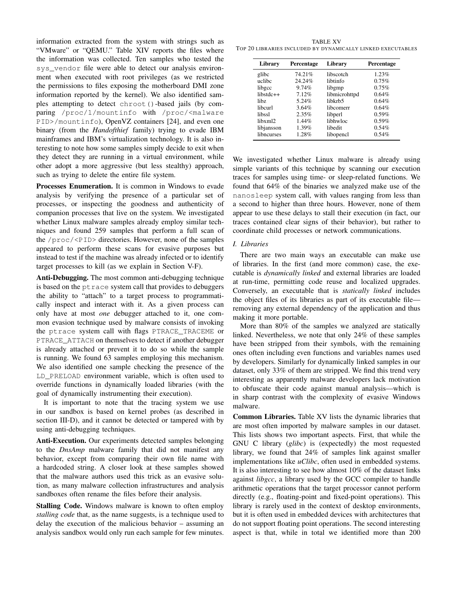information extracted from the system with strings such as "VMware" or "QEMU." Table [XIV](#page-10-4) reports the files where the information was collected. Ten samples who tested the sys\_vendor file were able to detect our analysis environment when executed with root privileges (as we restricted the permissions to files exposing the motherboard DMI zone information reported by the kernel). We also identified samples attempting to detect chroot()-based jails (by comparing /proc/1/mountinfo with /proc/<malware PID>/mountinfo), OpenVZ containers [\[24\]](#page-13-19), and even one binary (from the *Handofthief* family) trying to evade IBM mainframes and IBM's virtualization technology. It is also interesting to note how some samples simply decide to exit when they detect they are running in a virtual environment, while other adopt a more aggressive (but less stealthy) approach, such as trying to delete the entire file system.

Processes Enumeration. It is common in Windows to evade analysis by verifying the presence of a particular set of processes, or inspecting the goodness and authenticity of companion processes that live on the system. We investigated whether Linux malware samples already employ similar techniques and found 259 samples that perform a full scan of the /proc/<PID> directories. However, none of the samples appeared to perform these scans for evasive purposes but instead to test if the machine was already infected or to identify target processes to kill (as we explain in Section [V-F\)](#page-9-2).

Anti-Debugging. The most common anti-debugging technique is based on the ptrace system call that provides to debuggers the ability to "attach" to a target process to programmatically inspect and interact with it. As a given process can only have at most *one* debugger attached to it, one common evasion technique used by malware consists of invoking the ptrace system call with flags PTRACE\_TRACEME or PTRACE\_ATTACH on themselves to detect if another debugger is already attached or prevent it to do so while the sample is running. We found 63 samples employing this mechanism. We also identified one sample checking the presence of the LD\_PRELOAD environment variable, which is often used to override functions in dynamically loaded libraries (with the goal of dynamically instrumenting their execution).

It is important to note that the tracing system we use in our sandbox is based on kernel probes (as described in section [III-D\)](#page-3-0), and it cannot be detected or tampered with by using anti-debugging techniques.

Anti-Execution. Our experiments detected samples belonging to the *DnsAmp* malware family that did not manifest any behavior, except from comparing their own file name with a hardcoded string. A closer look at these samples showed that the malware authors used this trick as an evasive solution, as many malware collection infrastructures and analysis sandboxes often rename the files before their analysis.

Stalling Code. Windows malware is known to often employ *stalling code* that, as the name suggests, is a technique used to delay the execution of the malicious behavior – assuming an analysis sandbox would only run each sample for few minutes.

<span id="page-11-0"></span>TABLE XV TOP 20 LIBRARIES INCLUDED BY DYNAMICALLY LINKED EXECUTABLES

| Library       | Percentage | Library       | Percentage |
|---------------|------------|---------------|------------|
| glibc         | 74.21%     | libscotch     | 1.23%      |
| uclibc        | 24.24%     | libtinfo      | 0.75%      |
| libgcc        | 9.74%      | libgmp        | 0.75%      |
| $libstdc++$   | 7.12%      | libmicrohttpd | 0.64%      |
| lihz          | 5.24%      | libkrb5       | 0.64%      |
| libcurl       | 3.64%      | libcomerr     | 0.64%      |
| libssl        | 2.35%      | libperl       | 0.59%      |
| $\frac{1}{2}$ | 1.44%      | libhwloc      | 0.59%      |
| libjansson    | 1.39%      | libedit       | 0.54%      |
| libncurses    | 1.28%      | libopencl     | 0.54%      |

We investigated whether Linux malware is already using simple variants of this technique by scanning our execution traces for samples using time- or sleep-related functions. We found that 64% of the binaries we analyzed make use of the nanosleep system call, with values ranging from less than a second to higher than three hours. However, none of them appear to use these delays to stall their execution (in fact, our traces contained clear signs of their behavior), but rather to coordinate child processes or network communications.

# *I. Libraries*

There are two main ways an executable can make use of libraries. In the first (and more common) case, the executable is *dynamically linked* and external libraries are loaded at run-time, permitting code reuse and localized upgrades. Conversely, an executable that is *statically linked* includes the object files of its libraries as part of its executable file removing any external dependency of the application and thus making it more portable.

More than 80% of the samples we analyzed are statically linked. Nevertheless, we note that only 24% of these samples have been stripped from their symbols, with the remaining ones often including even functions and variables names used by developers. Similarly for dynamically linked samples in our dataset, only 33% of them are stripped. We find this trend very interesting as apparently malware developers lack motivation to obfuscate their code against manual analysis—which is in sharp contrast with the complexity of evasive Windows malware.

Common Libraries. Table [XV](#page-11-0) lists the dynamic libraries that are most often imported by malware samples in our dataset. This lists shows two important aspects. First, that while the GNU C library (*glibc*) is (expectedly) the most requested library, we found that 24% of samples link against smaller implementations like *uClibc*, often used in embedded systems. It is also interesting to see how almost 10% of the dataset links against *libgcc*, a library used by the GCC compiler to handle arithmetic operations that the target processor cannot perform directly (e.g., floating-point and fixed-point operations). This library is rarely used in the context of desktop environments, but it is often used in embedded devices with architectures that do not support floating point operations. The second interesting aspect is that, while in total we identified more than 200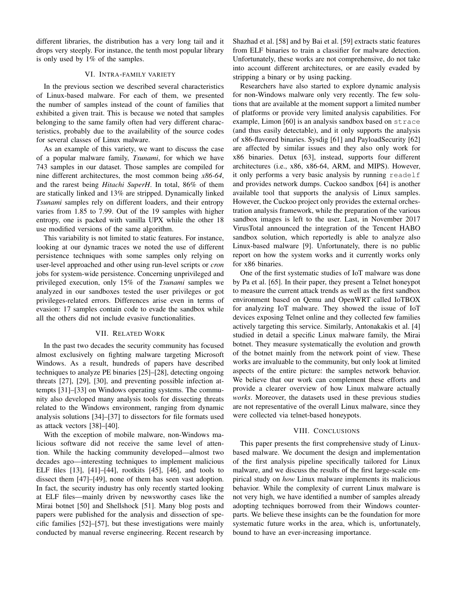different libraries, the distribution has a very long tail and it drops very steeply. For instance, the tenth most popular library is only used by 1% of the samples.

# VI. INTRA-FAMILY VARIETY

<span id="page-12-0"></span>In the previous section we described several characteristics of Linux-based malware. For each of them, we presented the number of samples instead of the count of families that exhibited a given trait. This is because we noted that samples belonging to the same family often had very different characteristics, probably due to the availability of the source codes for several classes of Linux malware.

As an example of this variety, we want to discuss the case of a popular malware family, *Tsunami*, for which we have 743 samples in our dataset. Those samples are compiled for nine different architectures, the most common being *x86-64*, and the rarest being *Hitachi SuperH*. In total, 86% of them are statically linked and 13% are stripped. Dynamically linked *Tsunami* samples rely on different loaders, and their entropy varies from 1.85 to 7.99. Out of the 19 samples with higher entropy, one is packed with vanilla UPX while the other 18 use modified versions of the same algorithm.

This variability is not limited to static features. For instance, looking at our dynamic traces we noted the use of different persistence techniques with some samples only relying on user-level approached and other using run-level scripts or *cron* jobs for system-wide persistence. Concerning unprivileged and privileged execution, only 15% of the *Tsunami* samples we analyzed in our sandboxes tested the user privileges or got privileges-related errors. Differences arise even in terms of evasion: 17 samples contain code to evade the sandbox while all the others did not include evasive functionalities.

# VII. RELATED WORK

In the past two decades the security community has focused almost exclusively on fighting malware targeting Microsoft Windows. As a result, hundreds of papers have described techniques to analyze PE binaries [\[25\]](#page-13-20)–[\[28\]](#page-13-21), detecting ongoing threats [\[27\]](#page-13-22), [\[29\]](#page-13-23), [\[30\]](#page-13-24), and preventing possible infection attempts [\[31\]](#page-13-25)–[\[33\]](#page-13-26) on Windows operating systems. The community also developed many analysis tools for dissecting threats related to the Windows environment, ranging from dynamic analysis solutions [\[34\]](#page-13-27)–[\[37\]](#page-13-28) to dissectors for file formats used as attack vectors [\[38\]](#page-13-29)–[\[40\]](#page-13-30).

With the exception of mobile malware, non-Windows malicious software did not receive the same level of attention. While the hacking community developed—almost two decades ago—interesting techniques to implement malicious ELF files [\[13\]](#page-13-12), [\[41\]](#page-13-31)–[\[44\]](#page-13-32), rootkits [\[45\]](#page-13-33), [\[46\]](#page-13-34), and tools to dissect them [\[47\]](#page-13-35)–[\[49\]](#page-13-36), none of them has seen vast adoption. In fact, the security industry has only recently started looking at ELF files—mainly driven by newsworthy cases like the Mirai botnet [\[50\]](#page-13-37) and Shellshock [\[51\]](#page-13-38). Many blog posts and papers were published for the analysis and dissection of specific families [\[52\]](#page-13-39)–[\[57\]](#page-13-40), but these investigations were mainly conducted by manual reverse engineering. Recent research by Shazhad et al. [\[58\]](#page-13-41) and by Bai et al. [\[59\]](#page-13-42) extracts static features from ELF binaries to train a classifier for malware detection. Unfortunately, these works are not comprehensive, do not take into account different architectures, or are easily evaded by stripping a binary or by using packing.

Researchers have also started to explore dynamic analysis for non-Windows malware only very recently. The few solutions that are available at the moment support a limited number of platforms or provide very limited analysis capabilities. For example, Limon [\[60\]](#page-13-43) is an analysis sandbox based on strace (and thus easily detectable), and it only supports the analysis of x86-flavored binaries. Sysdig [\[61\]](#page-13-44) and PayloadSecurity [\[62\]](#page-13-45) are affected by similar issues and they also only work for x86 binaries. Detux [\[63\]](#page-13-46), instead, supports four different architectures (i.e., x86, x86-64, ARM, and MIPS). However, it only performs a very basic analysis by running readelf and provides network dumps. Cuckoo sandbox [\[64\]](#page-13-47) is another available tool that supports the analysis of Linux samples. However, the Cuckoo project only provides the external orchestration analysis framework, while the preparation of the various sandbox images is left to the user. Last, in November 2017 VirusTotal announced the integration of the Tencent HABO sandbox solution, which reportedly is able to analyze also Linux-based malware [\[9\]](#page-13-8). Unfortunately, there is no public report on how the system works and it currently works only for x86 binaries.

One of the first systematic studies of IoT malware was done by Pa et al. [\[65\]](#page-13-48). In their paper, they present a Telnet honeypot to measure the current attack trends as well as the first sandbox environment based on Qemu and OpenWRT called IoTBOX for analyzing IoT malware. They showed the issue of IoT devices exposing Telnet online and they collected few families actively targeting this service. Similarly, Antonakakis et al. [\[4\]](#page-13-3) studied in detail a specific Linux malware family, the Mirai botnet. They measure systematically the evolution and growth of the botnet mainly from the network point of view. These works are invaluable to the community, but only look at limited aspects of the entire picture: the samples network behavior. We believe that our work can complement these efforts and provide a clearer overview of how Linux malware actually *works*. Moreover, the datasets used in these previous studies are not representative of the overall Linux malware, since they were collected via telnet-based honeypots.

# VIII. CONCLUSIONS

This paper presents the first comprehensive study of Linuxbased malware. We document the design and implementation of the first analysis pipeline specifically tailored for Linux malware, and we discuss the results of the first large-scale empirical study on *how* Linux malware implements its malicious behavior. While the complexity of current Linux malware is not very high, we have identified a number of samples already adopting techniques borrowed from their Windows counterparts. We believe these insights can be the foundation for more systematic future works in the area, which is, unfortunately, bound to have an ever-increasing importance.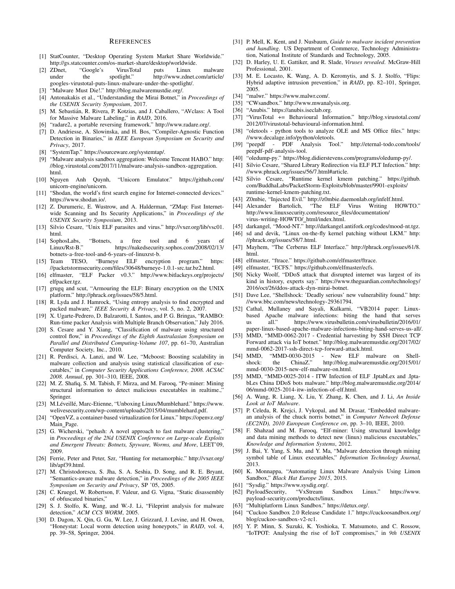# **REFERENCES**

- <span id="page-13-0"></span>[1] StatCounter, "Desktop Operating System Market Share Worldwide." [http://gs.statcounter.com/os-market-share/desktop/worldwide.](http://gs.statcounter.com/os-market-share/desktop/worldwide)
- <span id="page-13-1"></span>[2] ZDnet, "Google's VirusTotal puts Linux malware<br>under the spotlight." http://www.zdnet.com/article/ under the spotlight." [http://www.zdnet.com/article/](http://www.zdnet.com/article/googles-virustotal-puts-linux-malware-under-the-spotlight/) [googles-virustotal-puts-linux-malware-under-the-spotlight/.](http://www.zdnet.com/article/googles-virustotal-puts-linux-malware-under-the-spotlight/)
- <span id="page-13-2"></span>[3] "Malware Must Die!." [http://blog.malwaremustdie.org/.](http://blog.malwaremustdie.org/)
- <span id="page-13-3"></span>[4] Antonakakis et al., "Understanding the Mirai Botnet," in *Proceedings of the USENIX Security Symposium*, 2017.
- <span id="page-13-4"></span>[5] M. Sebastián, R. Rivera, P. Kotzias, and J. Caballero, "AVclass: A Tool for Massive Malware Labeling," in *RAID*, 2016.
- <span id="page-13-5"></span>[6] "radare2, a portable reversing framework." [http://www.radare.org/.](http://www.radare.org/)
- <span id="page-13-6"></span>[7] D. Andriesse, A. Slowinska, and H. Bos, "Compiler-Agnostic Function Detection in Binaries," in *IEEE European Symposium on Security and Privacy*, 2017.
- <span id="page-13-7"></span>[8] "SystemTap." [https://sourceware.org/systemtap/.](https://sourceware.org/systemtap/)
- <span id="page-13-8"></span>[9] "Malware analysis sandbox aggregation: Welcome Tencent HABO." [http:](http://blog.virustotal.com/2017/11/malware-analysis-sandbox-aggregation.html) [//blog.virustotal.com/2017/11/malware-analysis-sandbox-aggregation.](http://blog.virustotal.com/2017/11/malware-analysis-sandbox-aggregation.html) [html.](http://blog.virustotal.com/2017/11/malware-analysis-sandbox-aggregation.html)
- <span id="page-13-9"></span>[10] Nguyen Anh Quynh, "Unicorn Emulator." [https://github.com/](https://github.com/unicorn-engine/unicorn) [unicorn-engine/unicorn.](https://github.com/unicorn-engine/unicorn)
- <span id="page-13-10"></span>[11] "Shodan, the world's first search engine for Internet-connected devices." [https://www.shodan.io/.](https://www.shodan.io/)
- <span id="page-13-11"></span>[12] Z. Durumeric, E. Wustrow, and A. Halderman, "ZMap: Fast Internetwide Scanning and Its Security Applications," in *Proceedings of the USENIX Security Symposium*, 2013.
- <span id="page-13-12"></span>[13] Silvio Cesare, "Unix ELF parasites and virus." [http://vxer.org/lib/vsc01.](http://vxer.org/lib/vsc01.html) [html.](http://vxer.org/lib/vsc01.html)
- <span id="page-13-13"></span>[14] SophosLabs, "Botnets, a free tool and 6 years of Linux/Rst-B." [https://nakedsecurity.sophos.com/2008/02/13/](https://nakedsecurity.sophos.com/2008/02/13/botnets-a-free-tool-and-6-years-of-linuxrst-b) [botnets-a-free-tool-and-6-years-of-linuxrst-b.](https://nakedsecurity.sophos.com/2008/02/13/botnets-a-free-tool-and-6-years-of-linuxrst-b)
- <span id="page-13-14"></span>[15] Team TESO, "Burneye ELF encryption program." [https:](https://packetstormsecurity.com/files/30648/burneye-1.0.1-src.tar.bz2.html) [//packetstormsecurity.com/files/30648/burneye-1.0.1-src.tar.bz2.html.](https://packetstormsecurity.com/files/30648/burneye-1.0.1-src.tar.bz2.html)
- [16] elfmaster, "ELF Packer v0.3." [http://www.bitlackeys.org/projects/](http://www.bitlackeys.org/projects/elfpacker.tgz) [elfpacker.tgz.](http://www.bitlackeys.org/projects/elfpacker.tgz)
- <span id="page-13-15"></span>[17] grugq and scut, "Armouring the ELF: Binary encryption on the UNIX platform." [http://phrack.org/issues/58/5.html.](http://phrack.org/issues/58/5.html)
- <span id="page-13-16"></span>[18] R. Lyda and J. Hamrock, "Using entropy analysis to find encrypted and packed malware," *IEEE Security & Privacy*, vol. 5, no. 2, 2007.
- [19] X. Ugarte-Pedrero, D. Balzarotti, I. Santos, and P. G. Bringas, "RAMBO: Run-time packer Analysis with Multiple Branch Observation," July 2016.
- [20] S. Cesare and Y. Xiang, "Classification of malware using structured control flow," in *Proceedings of the Eighth Australasian Symposium on Parallel and Distributed Computing-Volume 107*, pp. 61–70, Australian Computer Society, Inc., 2010.
- [21] R. Perdisci, A. Lanzi, and W. Lee, "Mcboost: Boosting scalability in malware collection and analysis using statistical classification of executables," in *Computer Security Applications Conference, 2008. ACSAC 2008. Annual*, pp. 301–310, IEEE, 2008.
- <span id="page-13-17"></span>[22] M. Z. Shafiq, S. M. Tabish, F. Mirza, and M. Farooq, "Pe-miner: Mining structural information to detect malicious executables in realtime.,' Springer.
- <span id="page-13-18"></span>[23] M.Léveillé, Marc-Etienne, "Unboxing Linux/Mumblehard." [https://www.](https://www.welivesecurity.com/wp-content/uploads/2015/04/mumblehard.pdf) [welivesecurity.com/wp-content/uploads/2015/04/mumblehard.pdf.](https://www.welivesecurity.com/wp-content/uploads/2015/04/mumblehard.pdf)
- <span id="page-13-19"></span>[24] "OpenVZ, a container-based virtualization for Linux." [https://openvz.org/](https://openvz.org/Main_Page) [Main](https://openvz.org/Main_Page) Page.
- <span id="page-13-20"></span>[25] G. Wicherski, "pehash: A novel approach to fast malware clustering," in *Proceedings of the 2Nd USENIX Conference on Large-scale Exploits and Emergent Threats: Botnets, Spyware, Worms, and More*, LEET'09, 2009.
- [26] Ferrie, Peter and Peter, Szr, "Hunting for metamorphic." [http://vxer.org/](http://vxer.org/lib/apf39.html) [lib/apf39.html.](http://vxer.org/lib/apf39.html)
- <span id="page-13-22"></span>[27] M. Christodorescu, S. Jha, S. A. Seshia, D. Song, and R. E. Bryant, "Semantics-aware malware detection," in *Proceedings of the 2005 IEEE Symposium on Security and Privacy*, SP '05, 2005.
- <span id="page-13-21"></span>[28] C. Kruegel, W. Robertson, F. Valeur, and G. Vigna, "Static disassembly of obfuscated binaries,"
- <span id="page-13-23"></span>[29] S. J. Stolfo, K. Wang, and W.-J. Li, "Fileprint analysis for malware detection," *ACM CCS WORM*, 2005.
- <span id="page-13-24"></span>[30] D. Dagon, X. Qin, G. Gu, W. Lee, J. Grizzard, J. Levine, and H. Owen, "Honeystat: Local worm detection using honeypots," in *RAID*, vol. 4, pp. 39–58, Springer, 2004.
- <span id="page-13-25"></span>[31] P. Mell, K. Kent, and J. Nusbaum, *Guide to malware incident prevention and handling*. US Department of Commerce, Technology Administration, National Institute of Standards and Technology, 2005.
- [32] D. Harley, U. E. Gattiker, and R. Slade, *Viruses revealed*. McGraw-Hill Professional, 2001.
- <span id="page-13-26"></span>[33] M. E. Locasto, K. Wang, A. D. Keromytis, and S. J. Stolfo, "Flips: Hybrid adaptive intrusion prevention," in *RAID*, pp. 82–101, Springer, 2005.
- <span id="page-13-27"></span>[34] "malwr." [https://www.malwr.com/.](https://www.malwr.com/)
- [35] "CWsandbox." [http://www.mwanalysis.org.](http://www.mwanalysis.org)
- [36] "Anubis." [https://anubis.iseclab.org.](https://anubis.iseclab.org)
- <span id="page-13-28"></span>[37] "VirusTotal += Behavioural Information." [http://blog.virustotal.com/](http://blog.virustotal.com/2012/07/virustotal-behavioural-information.html) [2012/07/virustotal-behavioural-information.html.](http://blog.virustotal.com/2012/07/virustotal-behavioural-information.html)
- <span id="page-13-29"></span>[38] "oletools - python tools to analyze OLE and MS Office files." [https:](https://www.decalage.info/python/oletools) [//www.decalage.info/python/oletools.](https://www.decalage.info/python/oletools)
- [39] "peepdf PDF Analysis Tool." [http://eternal-todo.com/tools/](http://eternal-todo.com/tools/peepdf-pdf-analysis-tool) [peepdf-pdf-analysis-tool.](http://eternal-todo.com/tools/peepdf-pdf-analysis-tool)
- <span id="page-13-30"></span>[40] "oledump-py." [https://blog.didierstevens.com/programs/oledump-py/.](https://blog.didierstevens.com/programs/oledump-py/)
- <span id="page-13-31"></span>[41] Silvio Cesare, "Shared Library Redirection via ELF PLT Infection." [http:](http://www.phrack.org/issues/56/7.html#article) [//www.phrack.org/issues/56/7.html#article.](http://www.phrack.org/issues/56/7.html#article)
- [42] Silvio Cesare, "Runtime kernel kmem patching." [https://github.](https://github.com/BuddhaLabs/PacketStorm-Exploits/blob/master/9901-exploits/runtime-kernel-kmem-patching.txt) [com/BuddhaLabs/PacketStorm-Exploits/blob/master/9901-exploits/](https://github.com/BuddhaLabs/PacketStorm-Exploits/blob/master/9901-exploits/runtime-kernel-kmem-patching.txt) [runtime-kernel-kmem-patching.txt.](https://github.com/BuddhaLabs/PacketStorm-Exploits/blob/master/9901-exploits/runtime-kernel-kmem-patching.txt)
- [43] Z0mbie, "Injected Evil." [http://z0mbie.daemonlab.org/infelf.html.](http://z0mbie.daemonlab.org/infelf.html)
- <span id="page-13-32"></span>[44] Alexander Bartolich, "The ELF Virus Writing HOWTO." [http://www.linuxsecurity.com/resource](http://www.linuxsecurity.com/resource_files/documentation/virus-writing-HOWTO/_html/index.html) files/documentation/ [virus-writing-HOWTO/](http://www.linuxsecurity.com/resource_files/documentation/virus-writing-HOWTO/_html/index.html) html/index.html.
- <span id="page-13-33"></span>[45] darkangel, "Mood-NT." [http://darkangel.antifork.org/codes/mood-nt.tgz.](http://darkangel.antifork.org/codes/mood-nt.tgz)
- <span id="page-13-34"></span>[46] sd and devik, "Linux on-the-fly kernel patching without LKM." [http:](http://phrack.org/issues/58/7.html)
- <span id="page-13-35"></span>[//phrack.org/issues/58/7.html.](http://phrack.org/issues/58/7.html) [47] Mayhem, "The Cerberus ELF Interface." [http://phrack.org/issues/61/8.](http://phrack.org/issues/61/8.html) [html.](http://phrack.org/issues/61/8.html)
- [48] elfmaster, "ftrace." [https://github.com/elfmaster/ftrace.](https://github.com/elfmaster/ftrace)
- <span id="page-13-36"></span>[49] elfmaster, "ECFS." [https://github.com/elfmaster/ecfs.](https://github.com/elfmaster/ecfs)
- <span id="page-13-37"></span>[50] Nicky Woolf, "DDoS attack that disrupted internet was largest of its kind in history, experts say." [https://www.theguardian.com/technology/](https://www.theguardian.com/technology/2016/oct/26/ddos-attack-dyn-mirai-botnet) [2016/oct/26/ddos-attack-dyn-mirai-botnet.](https://www.theguardian.com/technology/2016/oct/26/ddos-attack-dyn-mirai-botnet)
- <span id="page-13-38"></span>[51] Dave Lee, "Shellshock: 'Deadly serious' new vulnerability found." [http:](http://www.bbc.com/news/technology-29361794) [//www.bbc.com/news/technology-29361794.](http://www.bbc.com/news/technology-29361794)
- <span id="page-13-39"></span>[52] Cathal, Mullaney and Sayali, Kulkarni, "VB2014 paper: Linuxbased Apache malware infections: biting the hand that serves us all." https://www.virusbulletin.com/virusbulletin/2016/01/ us all." [https://www.virusbulletin.com/virusbulletin/2016/01/](https://www.virusbulletin.com/virusbulletin/2016/01/paper-linux-based-apache-malware-infections-biting-hand-serves-us-all/) [paper-linux-based-apache-malware-infections-biting-hand-serves-us-all/.](https://www.virusbulletin.com/virusbulletin/2016/01/paper-linux-based-apache-malware-infections-biting-hand-serves-us-all/)
- [53] MMD, "MMD-0062-2017 Credential harvesting by SSH Direct TCP Forward attack via IoT botnet." [http://blog.malwaremustdie.org/2017/02/](http://blog.malwaremustdie.org/2017/02/mmd-0062-2017-ssh-direct-tcp-forward-attack.html) [mmd-0062-2017-ssh-direct-tcp-forward-attack.html.](http://blog.malwaremustdie.org/2017/02/mmd-0062-2017-ssh-direct-tcp-forward-attack.html)
- [54] MMD, "MMD-0030-2015 New ELF malware on Shell-<br>shock: the ChinaZ." http://blog.malwaremustdie.org/2015/01/ shock: the ChinaZ." [http://blog.malwaremustdie.org/2015/01/](http://blog.malwaremustdie.org/2015/01/mmd-0030-2015-new-elf-malware-on.html) [mmd-0030-2015-new-elf-malware-on.html.](http://blog.malwaremustdie.org/2015/01/mmd-0030-2015-new-elf-malware-on.html)
- [55] MMD, "MMD-0025-2014 ITW Infection of ELF .IptabLex and .IptabLes China DDoS bots malware." [http://blog.malwaremustdie.org/2014/](http://blog.malwaremustdie.org/2014/06/mmd-0025-2014-itw-infection-of-elf.html) [06/mmd-0025-2014-itw-infection-of-elf.html.](http://blog.malwaremustdie.org/2014/06/mmd-0025-2014-itw-infection-of-elf.html)
- [56] A. Wang, R. Liang, X. Liu, Y. Zhang, K. Chen, and J. Li, *An Inside Look at IoT Malware*.
- <span id="page-13-40"></span>[57] P. Celeda, R. Krejci, J. Vykopal, and M. Drasar, "Embedded malwarean analysis of the chuck norris botnet," in *Computer Network Defense (EC2ND), 2010 European Conference on*, pp. 3–10, IEEE, 2010.
- <span id="page-13-41"></span>[58] F. Shahzad and M. Farooq, "Elf-miner: Using structural knowledge and data mining methods to detect new (linux) malicious executables,' *Knowledge and Information Systems*, 2012.
- <span id="page-13-42"></span>[59] J. Bai, Y. Yang, S. Mu, and Y. Ma, "Malware detection through mining symbol table of Linux executables," *Information Technology Journal*, 2013.
- <span id="page-13-43"></span>[60] K. Monnappa, "Automating Linux Malware Analysis Using Limon Sandbox," *Black Hat Europe 2015*, 2015.
- <span id="page-13-44"></span>[61] "Sysdig." [https://www.sysdig.org/.](https://www.sysdig.org/)
- <span id="page-13-45"></span>[62] PayloadSecurity, "VxStream Sandbox Linux." [https://www.](https://www.payload-security.com/products/linux) [payload-security.com/products/linux.](https://www.payload-security.com/products/linux)
- <span id="page-13-46"></span>[63] "Multiplatform Linux Sandbox." [https://detux.org/.](https://detux.org/)
- <span id="page-13-47"></span>[64] "Cuckoo Sandbox 2.0 Release Candidate 1." [https://cuckoosandbox.org/](https://cuckoosandbox.org/blog/cuckoo-sandbox-v2-rc1) [blog/cuckoo-sandbox-v2-rc1.](https://cuckoosandbox.org/blog/cuckoo-sandbox-v2-rc1)
- <span id="page-13-48"></span>[65] Y. P. Minn, S. Suzuki, K. Yoshioka, T. Matsumoto, and C. Rossow, "IoTPOT: Analysing the rise of IoT compromises," in *9th USENIX*